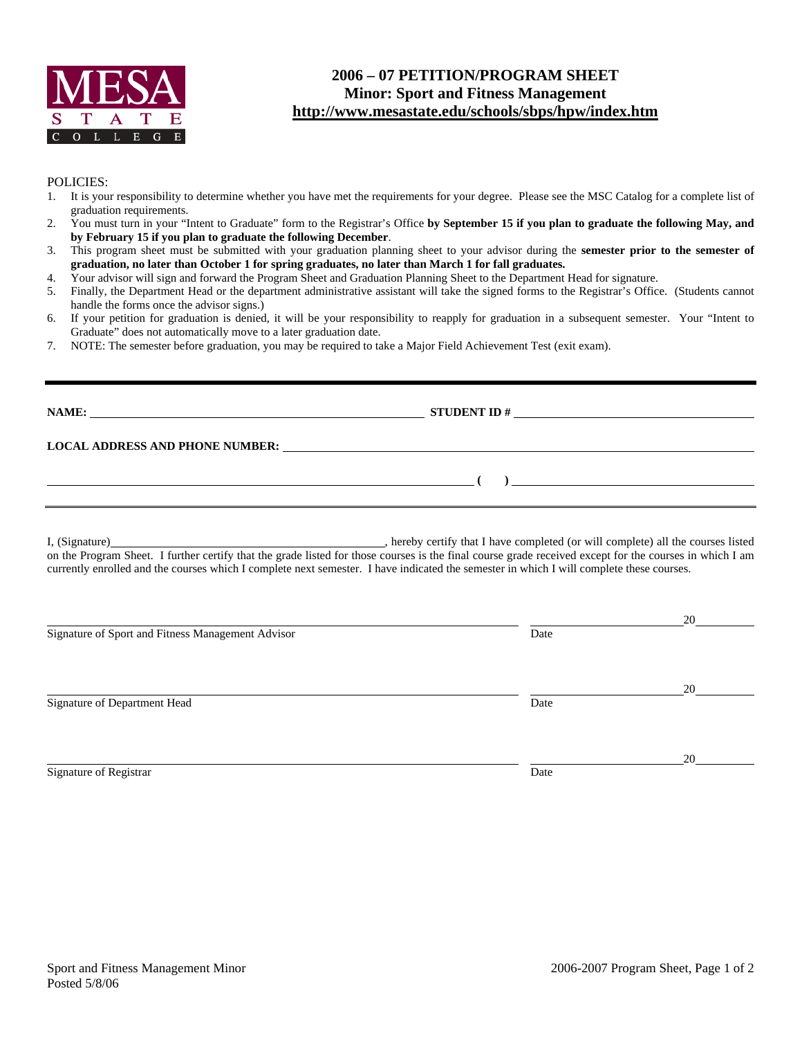

## **2006 – 07 PETITION/PROGRAM SHEET Minor: Sport and Fitness Management http://www.mesastate.edu/schools/sbps/hpw/index.htm**

## POLICIES:

- 1. It is your responsibility to determine whether you have met the requirements for your degree. Please see the MSC Catalog for a complete list of graduation requirements.
- 2. You must turn in your "Intent to Graduate" form to the Registrar's Office **by September 15 if you plan to graduate the following May, and by February 15 if you plan to graduate the following December**.
- 3. This program sheet must be submitted with your graduation planning sheet to your advisor during the **semester prior to the semester of graduation, no later than October 1 for spring graduates, no later than March 1 for fall graduates.**

4. Your advisor will sign and forward the Program Sheet and Graduation Planning Sheet to the Department Head for signature.

- 5. Finally, the Department Head or the department administrative assistant will take the signed forms to the Registrar's Office. (Students cannot handle the forms once the advisor signs.)
- 6. If your petition for graduation is denied, it will be your responsibility to reapply for graduation in a subsequent semester. Your "Intent to Graduate" does not automatically move to a later graduation date.
- 7. NOTE: The semester before graduation, you may be required to take a Major Field Achievement Test (exit exam).

| NAME:                                  | <b>STUDENT ID#</b> |
|----------------------------------------|--------------------|
| <b>LOCAL ADDRESS AND PHONE NUMBER:</b> |                    |
|                                        |                    |

I, (Signature) , hereby certify that I have completed (or will complete) all the courses listed on the Program Sheet. I further certify that the grade listed for those courses is the final course grade received except for the courses in which I am currently enrolled and the courses which I complete next semester. I have indicated the semester in which I will complete these courses.

|                                                   |      | 20 |
|---------------------------------------------------|------|----|
| Signature of Sport and Fitness Management Advisor | Date |    |
|                                                   |      | 20 |
| Signature of Department Head                      | Date |    |
|                                                   |      | 20 |
| Signature of Registrar                            | Date |    |